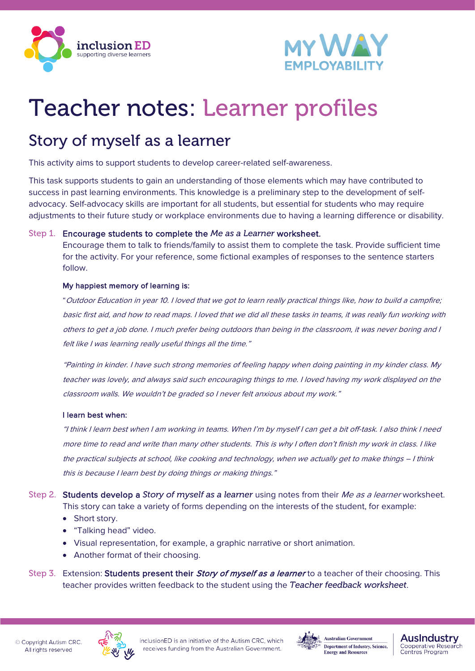



# Teacher notes: Learner profiles

### Story of myself as a learner

This activity aims to support students to develop career-related self-awareness.

This task supports students to gain an understanding of those elements which may have contributed to success in past learning environments. This knowledge is a preliminary step to the development of selfadvocacy. Self-advocacy skills are important for all students, but essential for students who may require adjustments to their future study or workplace environments due to having a learning difference or disability.

#### Step 1. Encourage students to complete the *Me as a Learner* worksheet.

Encourage them to talk to friends/family to assist them to complete the task. Provide sufficient time for the activity. For your reference, some fictional examples of responses to the sentence starters follow.

#### My happiest memory of learning is:

"Outdoor Education in year 10. I loved that we got to learn really practical things like, how to build a campfire; basic first aid, and how to read maps. I loved that we did all these tasks in teams, it was really fun working with others to get a job done. I much prefer being outdoors than being in the classroom, it was never boring and I felt like I was learning really useful things all the time."

"Painting in kinder. I have such strong memories of feeling happy when doing painting in my kinder class. My teacher was lovely, and always said such encouraging things to me. I loved having my work displayed on the classroom walls. We wouldn't be graded so I never felt anxious about my work."

#### I learn best when:

"I think I learn best when I am working in teams. When I'm by myself I can get a bit off-task. I also think I need more time to read and write than many other students. This is why I often don't finish my work in class. I like the practical subjects at school, like cooking and technology, when we actually get to make things – I think this is because I learn best by doing things or making things."

Step 2. Students develop a *Story of myself as a learner* using notes from their Me as a learner worksheet. This story can take a variety of forms depending on the interests of the student, for example:

- Short story.
- "Talking head" video.
- Visual representation, for example, a graphic narrative or short animation.
- Another format of their choosing.
- Step 3. Extension: Students present their *Story of myself as a learner* to a teacher of their choosing. This teacher provides written feedback to the student using the *Teacher feedback worksheet*.





**Ausindustry** 

**Centres Program** 

Cooperative Research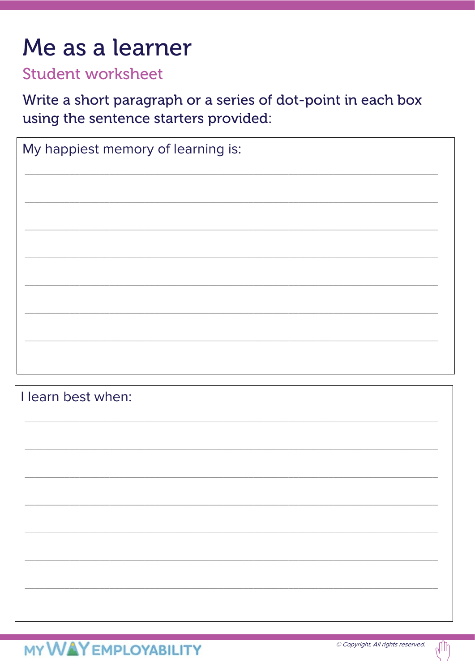## Me as a learner

### **Student worksheet**

Write a short paragraph or a series of dot-point in each box using the sentence starters provided:

| My happiest memory of learning is: |
|------------------------------------|
|                                    |
|                                    |
|                                    |
|                                    |
|                                    |
|                                    |
|                                    |
|                                    |

I learn best when: